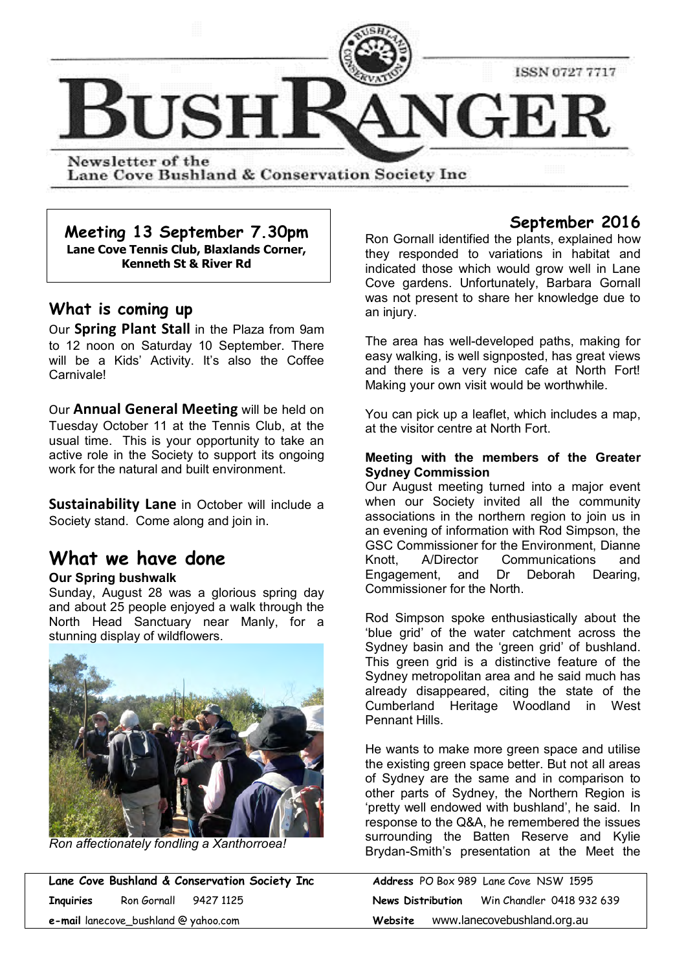

Lane Cove Bushland & Conservation Society Inc

**Meeting 13 September 7.30pm Lane Cove Tennis Club, Blaxlands Corner, Kenneth St & River Rd**

# **What is coming up**

Our **Spring Plant Stall** in the Plaza from 9am to 12 noon on Saturday 10 September. There will be a Kids' Activity. It's also the Coffee Carnivale!

Our **Annual General Meeting** will be held on Tuesday October 11 at the Tennis Club, at the usual time. This is your opportunity to take an active role in the Society to support its ongoing work for the natural and built environment.

**Sustainability Lane** in October will include a Society stand. Come along and join in.

# **What we have done**

## **Our Spring bushwalk**

Sunday, August 28 was a glorious spring day and about 25 people enjoyed a walk through the North Head Sanctuary near Manly, for a stunning display of wildflowers.



*Ron affectionately fondling a Xanthorroea!*

**Lane Cove Bushland & Conservation Society Inc Inquiries** Ron Gornall 9427 1125 **News Distribution** Win Chandler 0418 932 639 **e-mail** lanecove\_bushland @ yahoo.com

# **September 2016**

Ron Gornall identified the plants, explained how they responded to variations in habitat and indicated those which would grow well in Lane Cove gardens. Unfortunately, Barbara Gornall was not present to share her knowledge due to an injury.

The area has well-developed paths, making for easy walking, is well signposted, has great views and there is a very nice cafe at North Fort! Making your own visit would be worthwhile.

You can pick up a leaflet, which includes a map, at the visitor centre at North Fort.

#### **Meeting with the members of the Greater Sydney Commission**

Our August meeting turned into a major event when our Society invited all the community associations in the northern region to join us in an evening of information with Rod Simpson, the GSC Commissioner for the Environment, Dianne Knott, A/Director Communications and Engagement, and Dr Deborah Dearing, Commissioner for the North.

Rod Simpson spoke enthusiastically about the 'blue grid' of the water catchment across the Sydney basin and the 'green grid' of bushland. This green grid is a distinctive feature of the Sydney metropolitan area and he said much has already disappeared, citing the state of the Cumberland Heritage Woodland in West Pennant Hills.

He wants to make more green space and utilise the existing green space better. But not all areas of Sydney are the same and in comparison to other parts of Sydney, the Northern Region is 'pretty well endowed with bushland', he said. In response to the Q&A, he remembered the issues surrounding the Batten Reserve and Kylie Brydan-Smith's presentation at the Meet the

|                   |                             | <b>Address</b> PO Box 989 Lane Cove NSW 1595 |  |  |
|-------------------|-----------------------------|----------------------------------------------|--|--|
| News Distribution |                             | Win Chandler 0418 932 639                    |  |  |
| Website           | www.lanecovebushland.org.au |                                              |  |  |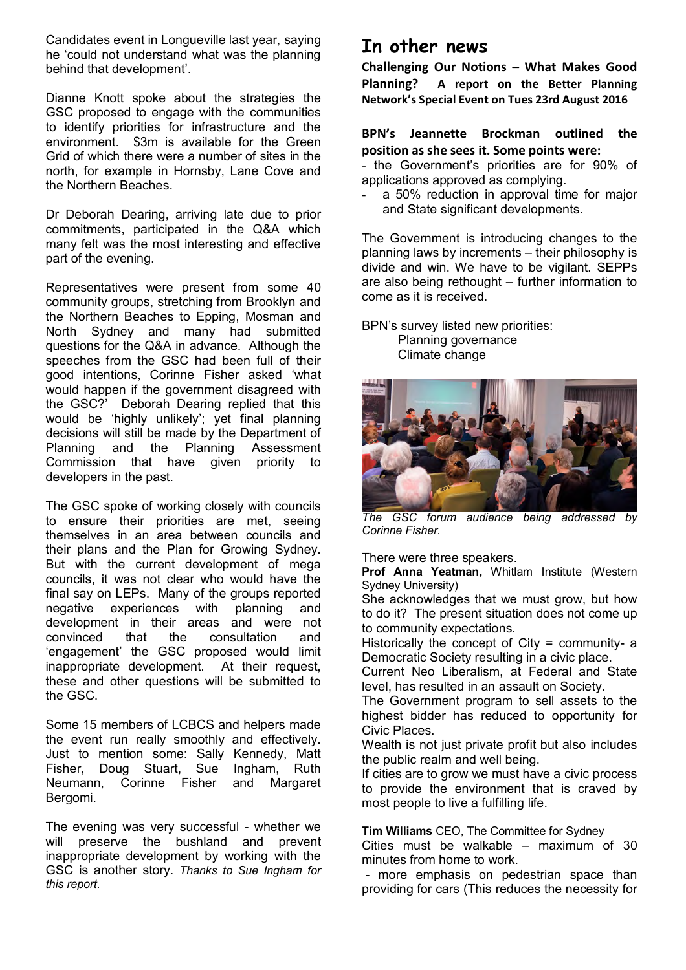Candidates event in Longueville last year, saying he 'could not understand what was the planning behind that development'.

Dianne Knott spoke about the strategies the GSC proposed to engage with the communities to identify priorities for infrastructure and the environment. \$3m is available for the Green Grid of which there were a number of sites in the north, for example in Hornsby, Lane Cove and the Northern Beaches.

Dr Deborah Dearing, arriving late due to prior commitments, participated in the Q&A which many felt was the most interesting and effective part of the evening.

Representatives were present from some 40 community groups, stretching from Brooklyn and the Northern Beaches to Epping, Mosman and North Sydney and many had submitted questions for the Q&A in advance. Although the speeches from the GSC had been full of their good intentions, Corinne Fisher asked 'what would happen if the government disagreed with the GSC?' Deborah Dearing replied that this would be 'highly unlikely'; yet final planning decisions will still be made by the Department of<br>Planning and the Planning Assessment Planning and the Planning Assessment Commission that have given priority to developers in the past.

The GSC spoke of working closely with councils to ensure their priorities are met, seeing themselves in an area between councils and their plans and the Plan for Growing Sydney. But with the current development of mega councils, it was not clear who would have the final say on LEPs. Many of the groups reported negative experiences with planning and development in their areas and were not convinced that the consultation and 'engagement' the GSC proposed would limit inappropriate development. At their request, these and other questions will be submitted to the GSC.

Some 15 members of LCBCS and helpers made the event run really smoothly and effectively. Just to mention some: Sally Kennedy, Matt Fisher, Doug Stuart, Sue Ingham, Ruth Neumann, Corinne Fisher and Margaret Bergomi.

The evening was very successful - whether we will preserve the bushland and prevent inappropriate development by working with the GSC is another story. *Thanks to Sue Ingham for this report.*

# **In other news**

**Challenging Our Notions – What Makes Good Planning? A report on the Better Planning Network's Special Event on Tues 23rd August 2016**

# **BPN's Jeannette Brockman outlined the position as she sees it. Some points were:**

- the Government's priorities are for 90% of applications approved as complying.

a 50% reduction in approval time for major and State significant developments.

The Government is introducing changes to the planning laws by increments – their philosophy is divide and win. We have to be vigilant. SEPPs are also being rethought – further information to come as it is received.

BPN's survey listed new priorities: Planning governance Climate change



*The GSC forum audience being addressed by Corinne Fisher.*

There were three speakers.

**Prof Anna Yeatman,** Whitlam Institute (Western Sydney University)

She acknowledges that we must grow, but how to do it? The present situation does not come up to community expectations.

Historically the concept of City = community- a Democratic Society resulting in a civic place.

Current Neo Liberalism, at Federal and State level, has resulted in an assault on Society.

The Government program to sell assets to the highest bidder has reduced to opportunity for Civic Places.

Wealth is not just private profit but also includes the public realm and well being.

If cities are to grow we must have a civic process to provide the environment that is craved by most people to live a fulfilling life.

**Tim Williams** CEO, The Committee for Sydney

Cities must be walkable – maximum of 30 minutes from home to work.

 - more emphasis on pedestrian space than providing for cars (This reduces the necessity for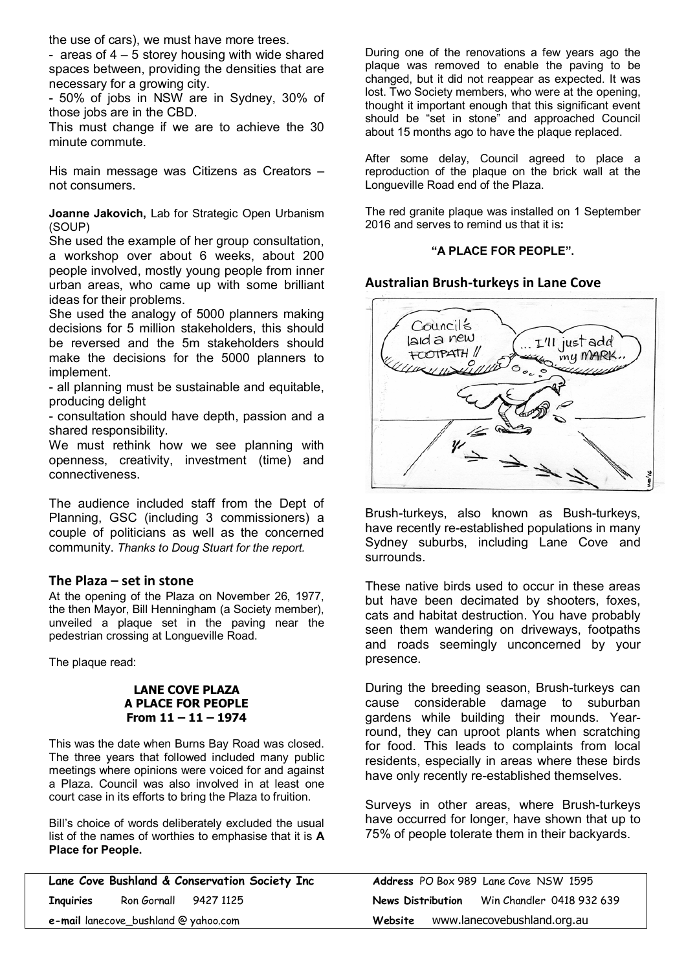the use of cars), we must have more trees.

- areas of  $4 - 5$  storey housing with wide shared spaces between, providing the densities that are necessary for a growing city.

- 50% of jobs in NSW are in Sydney, 30% of those jobs are in the CBD.

This must change if we are to achieve the 30 minute commute.

His main message was Citizens as Creators – not consumers.

**Joanne Jakovich,** Lab for Strategic Open Urbanism (SOUP)

She used the example of her group consultation, a workshop over about 6 weeks, about 200 people involved, mostly young people from inner urban areas, who came up with some brilliant ideas for their problems.

She used the analogy of 5000 planners making decisions for 5 million stakeholders, this should be reversed and the 5m stakeholders should make the decisions for the 5000 planners to implement.

- all planning must be sustainable and equitable, producing delight

- consultation should have depth, passion and a shared responsibility.

We must rethink how we see planning with openness, creativity, investment (time) and connectiveness.

The audience included staff from the Dept of Planning, GSC (including 3 commissioners) a couple of politicians as well as the concerned community. *Thanks to Doug Stuart for the report.*

#### **The Plaza – set in stone**

At the opening of the Plaza on November 26, 1977, the then Mayor, Bill Henningham (a Society member), unveiled a plaque set in the paving near the pedestrian crossing at Longueville Road.

The plaque read:

#### **LANE COVE PLAZA A PLACE FOR PEOPLE From 11 – 11 – 1974**

This was the date when Burns Bay Road was closed. The three years that followed included many public meetings where opinions were voiced for and against a Plaza. Council was also involved in at least one court case in its efforts to bring the Plaza to fruition.

Bill's choice of words deliberately excluded the usual list of the names of worthies to emphasise that it is **A Place for People.**

|                  |                                      | Lane Cove Bushland & Conservation Society Inc |                   | Address PO Box 989 Lane Cove NSW 1595 |  |
|------------------|--------------------------------------|-----------------------------------------------|-------------------|---------------------------------------|--|
| <b>Inquiries</b> | Ron Gornall 9427 1125                |                                               | News Distribution | Win Chandler 0418 932 639             |  |
|                  | e-mail lanecove_bushland @ yahoo.com |                                               | Website           | www.lanecovebushland.org.au           |  |

During one of the renovations a few years ago the plaque was removed to enable the paving to be changed, but it did not reappear as expected. It was lost. Two Society members, who were at the opening, thought it important enough that this significant event should be "set in stone" and approached Council about 15 months ago to have the plaque replaced.

After some delay, Council agreed to place a reproduction of the plaque on the brick wall at the Longueville Road end of the Plaza.

The red granite plaque was installed on 1 September 2016 and serves to remind us that it is**:**

## **"A PLACE FOR PEOPLE".**

#### **Australian Brush-turkeys in Lane Cove**



Brush-turkeys, also known as Bush-turkeys, have recently re-established populations in many Sydney suburbs, including Lane Cove and surrounds.

These native birds used to occur in these areas but have been decimated by shooters, foxes, cats and habitat destruction. You have probably seen them wandering on driveways, footpaths and roads seemingly unconcerned by your presence.

During the breeding season, Brush-turkeys can cause considerable damage to suburban gardens while building their mounds. Yearround, they can uproot plants when scratching for food. This leads to complaints from local residents, especially in areas where these birds have only recently re-established themselves.

Surveys in other areas, where Brush-turkeys have occurred for longer, have shown that up to 75% of people tolerate them in their backyards.

|                                             |                             | <b>Address</b> PO Box 989 Lane Cove NSW 1595 |  |  |  |
|---------------------------------------------|-----------------------------|----------------------------------------------|--|--|--|
| News Distribution Win Chandler 0418 932 639 |                             |                                              |  |  |  |
| Website                                     | www.lanecovebushland.org.au |                                              |  |  |  |